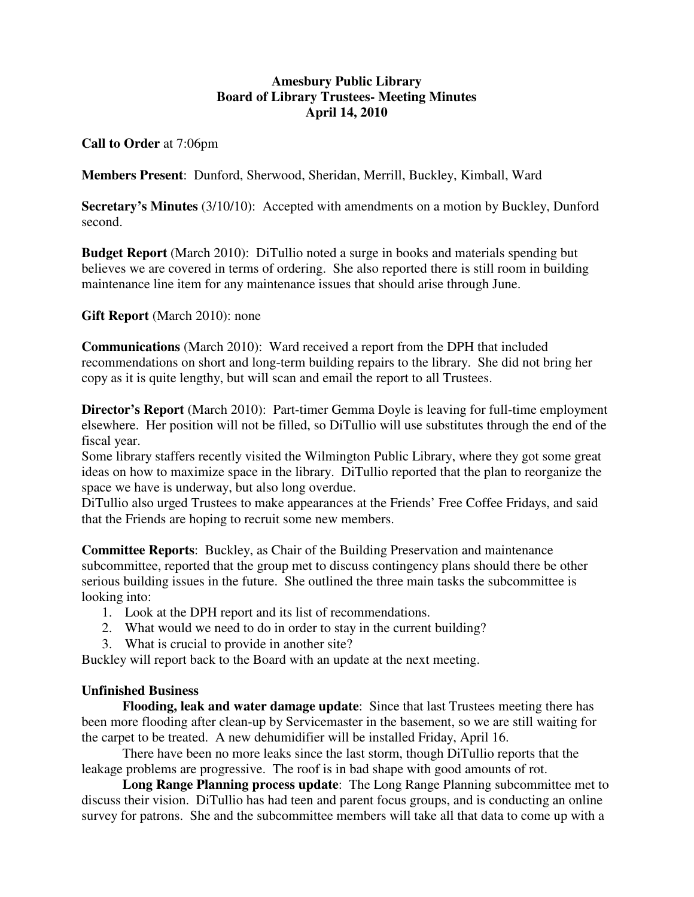## **Amesbury Public Library Board of Library Trustees- Meeting Minutes April 14, 2010**

**Call to Order** at 7:06pm

**Members Present**: Dunford, Sherwood, Sheridan, Merrill, Buckley, Kimball, Ward

**Secretary's Minutes** (3/10/10): Accepted with amendments on a motion by Buckley, Dunford second.

**Budget Report** (March 2010): DiTullio noted a surge in books and materials spending but believes we are covered in terms of ordering. She also reported there is still room in building maintenance line item for any maintenance issues that should arise through June.

**Gift Report** (March 2010): none

**Communications** (March 2010): Ward received a report from the DPH that included recommendations on short and long-term building repairs to the library. She did not bring her copy as it is quite lengthy, but will scan and email the report to all Trustees.

**Director's Report** (March 2010): Part-timer Gemma Doyle is leaving for full-time employment elsewhere. Her position will not be filled, so DiTullio will use substitutes through the end of the fiscal year.

Some library staffers recently visited the Wilmington Public Library, where they got some great ideas on how to maximize space in the library. DiTullio reported that the plan to reorganize the space we have is underway, but also long overdue.

DiTullio also urged Trustees to make appearances at the Friends' Free Coffee Fridays, and said that the Friends are hoping to recruit some new members.

**Committee Reports**: Buckley, as Chair of the Building Preservation and maintenance subcommittee, reported that the group met to discuss contingency plans should there be other serious building issues in the future. She outlined the three main tasks the subcommittee is looking into:

- 1. Look at the DPH report and its list of recommendations.
- 2. What would we need to do in order to stay in the current building?
- 3. What is crucial to provide in another site?

Buckley will report back to the Board with an update at the next meeting.

## **Unfinished Business**

**Flooding, leak and water damage update**: Since that last Trustees meeting there has been more flooding after clean-up by Servicemaster in the basement, so we are still waiting for the carpet to be treated. A new dehumidifier will be installed Friday, April 16.

 There have been no more leaks since the last storm, though DiTullio reports that the leakage problems are progressive. The roof is in bad shape with good amounts of rot.

**Long Range Planning process update**: The Long Range Planning subcommittee met to discuss their vision. DiTullio has had teen and parent focus groups, and is conducting an online survey for patrons. She and the subcommittee members will take all that data to come up with a